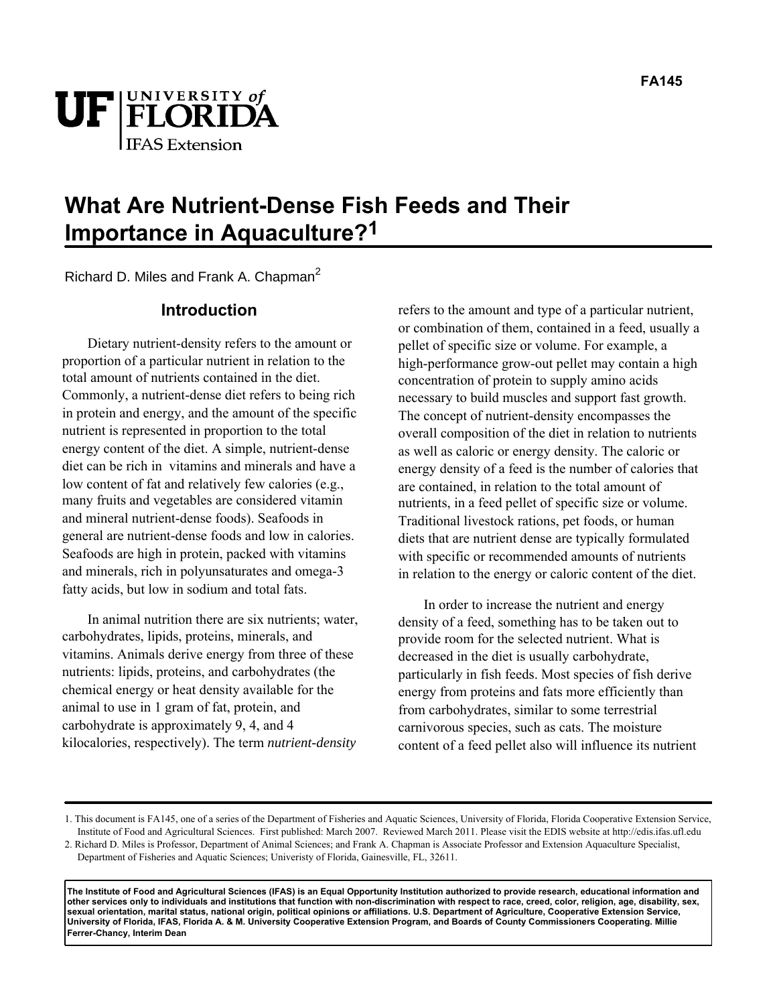

# **What Are Nutrient-Dense Fish Feeds and Their Importance in Aquaculture?1**

Richard D. Miles and Frank A. Chapman<sup>2</sup>

## **Introduction**

Dietary nutrient-density refers to the amount or proportion of a particular nutrient in relation to the total amount of nutrients contained in the diet. Commonly, a nutrient-dense diet refers to being rich in protein and energy, and the amount of the specific nutrient is represented in proportion to the total energy content of the diet. A simple, nutrient-dense diet can be rich in vitamins and minerals and have a low content of fat and relatively few calories (e.g., many fruits and vegetables are considered vitamin and mineral nutrient-dense foods). Seafoods in general are nutrient-dense foods and low in calories. Seafoods are high in protein, packed with vitamins and minerals, rich in polyunsaturates and omega-3 fatty acids, but low in sodium and total fats.

In animal nutrition there are six nutrients; water, carbohydrates, lipids, proteins, minerals, and vitamins. Animals derive energy from three of these nutrients: lipids, proteins, and carbohydrates (the chemical energy or heat density available for the animal to use in 1 gram of fat, protein, and carbohydrate is approximately 9, 4, and 4 kilocalories, respectively). The term *nutrient-density*

refers to the amount and type of a particular nutrient, or combination of them, contained in a feed, usually a pellet of specific size or volume. For example, a high-performance grow-out pellet may contain a high concentration of protein to supply amino acids necessary to build muscles and support fast growth. The concept of nutrient-density encompasses the overall composition of the diet in relation to nutrients as well as caloric or energy density. The caloric or energy density of a feed is the number of calories that are contained, in relation to the total amount of nutrients, in a feed pellet of specific size or volume. Traditional livestock rations, pet foods, or human diets that are nutrient dense are typically formulated with specific or recommended amounts of nutrients in relation to the energy or caloric content of the diet.

In order to increase the nutrient and energy density of a feed, something has to be taken out to provide room for the selected nutrient. What is decreased in the diet is usually carbohydrate, particularly in fish feeds. Most species of fish derive energy from proteins and fats more efficiently than from carbohydrates, similar to some terrestrial carnivorous species, such as cats. The moisture content of a feed pellet also will influence its nutrient

**The Institute of Food and Agricultural Sciences (IFAS) is an Equal Opportunity Institution authorized to provide research, educational information and other services only to individuals and institutions that function with non-discrimination with respect to race, creed, color, religion, age, disability, sex, sexual orientation, marital status, national origin, political opinions or affiliations. U.S. Department of Agriculture, Cooperative Extension Service, University of Florida, IFAS, Florida A. & M. University Cooperative Extension Program, and Boards of County Commissioners Cooperating. Millie Ferrer-Chancy, Interim Dean** 

<sup>1.</sup> This document is FA145, one of a series of the Department of Fisheries and Aquatic Sciences, University of Florida, Florida Cooperative Extension Service, Institute of Food and Agricultural Sciences. First published: March 2007. Reviewed March 2011. Please visit the EDIS website at http://edis.ifas.ufl.edu

<sup>2.</sup> Richard D. Miles is Professor, Department of Animal Sciences; and Frank A. Chapman is Associate Professor and Extension Aquaculture Specialist, Department of Fisheries and Aquatic Sciences; Univeristy of Florida, Gainesville, FL, 32611.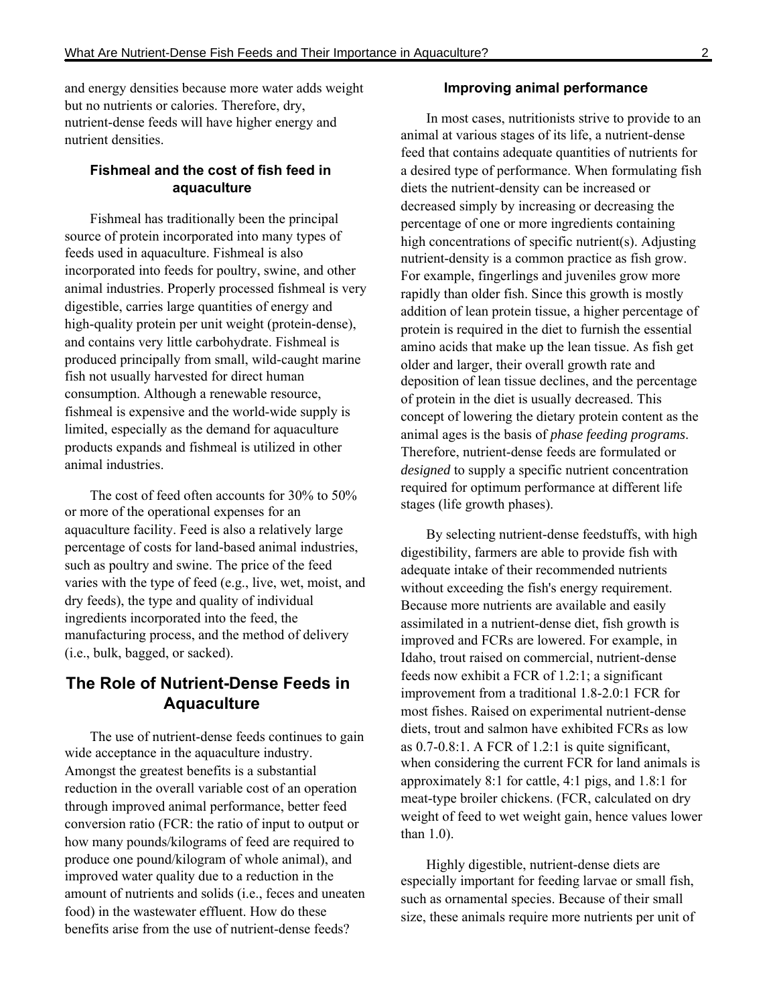and energy densities because more water adds weight but no nutrients or calories. Therefore, dry, nutrient-dense feeds will have higher energy and nutrient densities.

## **Fishmeal and the cost of fish feed in aquaculture**

Fishmeal has traditionally been the principal source of protein incorporated into many types of feeds used in aquaculture. Fishmeal is also incorporated into feeds for poultry, swine, and other animal industries. Properly processed fishmeal is very digestible, carries large quantities of energy and high-quality protein per unit weight (protein-dense), and contains very little carbohydrate. Fishmeal is produced principally from small, wild-caught marine fish not usually harvested for direct human consumption. Although a renewable resource, fishmeal is expensive and the world-wide supply is limited, especially as the demand for aquaculture products expands and fishmeal is utilized in other animal industries.

The cost of feed often accounts for 30% to 50% or more of the operational expenses for an aquaculture facility. Feed is also a relatively large percentage of costs for land-based animal industries, such as poultry and swine. The price of the feed varies with the type of feed (e.g., live, wet, moist, and dry feeds), the type and quality of individual ingredients incorporated into the feed, the manufacturing process, and the method of delivery (i.e., bulk, bagged, or sacked).

# **The Role of Nutrient-Dense Feeds in Aquaculture**

The use of nutrient-dense feeds continues to gain wide acceptance in the aquaculture industry. Amongst the greatest benefits is a substantial reduction in the overall variable cost of an operation through improved animal performance, better feed conversion ratio (FCR: the ratio of input to output or how many pounds/kilograms of feed are required to produce one pound/kilogram of whole animal), and improved water quality due to a reduction in the amount of nutrients and solids (i.e., feces and uneaten food) in the wastewater effluent. How do these benefits arise from the use of nutrient-dense feeds?

#### **Improving animal performance**

In most cases, nutritionists strive to provide to an animal at various stages of its life, a nutrient-dense feed that contains adequate quantities of nutrients for a desired type of performance. When formulating fish diets the nutrient-density can be increased or decreased simply by increasing or decreasing the percentage of one or more ingredients containing high concentrations of specific nutrient(s). Adjusting nutrient-density is a common practice as fish grow. For example, fingerlings and juveniles grow more rapidly than older fish. Since this growth is mostly addition of lean protein tissue, a higher percentage of protein is required in the diet to furnish the essential amino acids that make up the lean tissue. As fish get older and larger, their overall growth rate and deposition of lean tissue declines, and the percentage of protein in the diet is usually decreased. This concept of lowering the dietary protein content as the animal ages is the basis of *phase feeding programs*. Therefore, nutrient-dense feeds are formulated or *designed* to supply a specific nutrient concentration required for optimum performance at different life stages (life growth phases).

By selecting nutrient-dense feedstuffs, with high digestibility, farmers are able to provide fish with adequate intake of their recommended nutrients without exceeding the fish's energy requirement. Because more nutrients are available and easily assimilated in a nutrient-dense diet, fish growth is improved and FCRs are lowered. For example, in Idaho, trout raised on commercial, nutrient-dense feeds now exhibit a FCR of 1.2:1; a significant improvement from a traditional 1.8-2.0:1 FCR for most fishes. Raised on experimental nutrient-dense diets, trout and salmon have exhibited FCRs as low as 0.7-0.8:1. A FCR of 1.2:1 is quite significant, when considering the current FCR for land animals is approximately 8:1 for cattle, 4:1 pigs, and 1.8:1 for meat-type broiler chickens. (FCR, calculated on dry weight of feed to wet weight gain, hence values lower than 1.0).

Highly digestible, nutrient-dense diets are especially important for feeding larvae or small fish, such as ornamental species. Because of their small size, these animals require more nutrients per unit of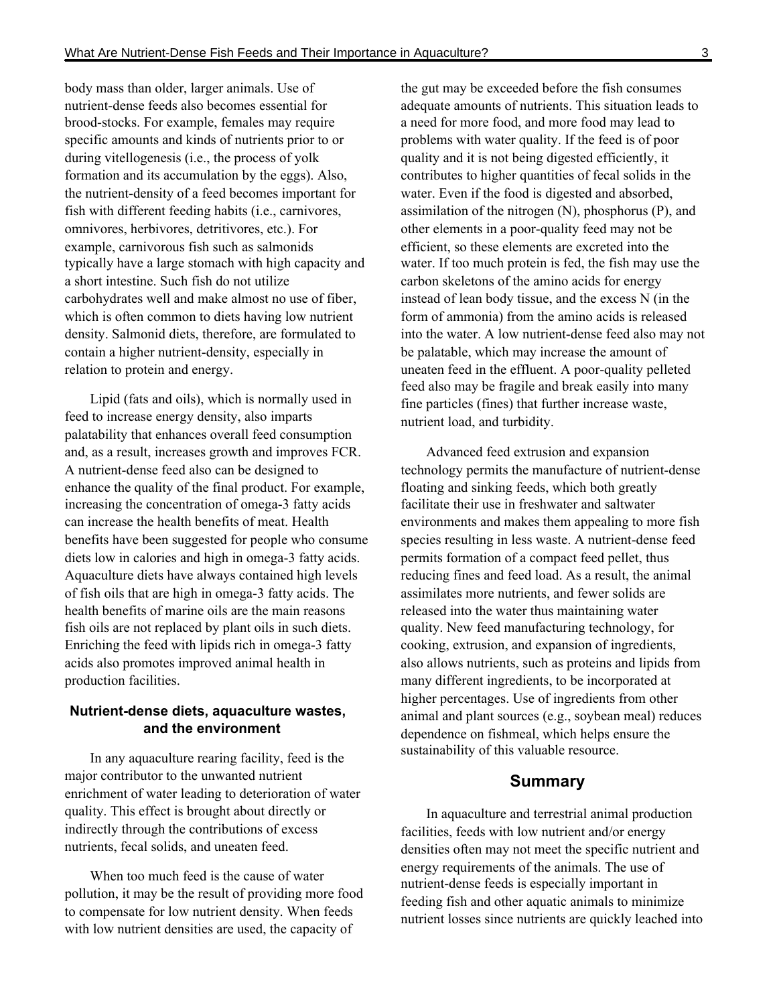body mass than older, larger animals. Use of nutrient-dense feeds also becomes essential for brood-stocks. For example, females may require specific amounts and kinds of nutrients prior to or during vitellogenesis (i.e., the process of yolk formation and its accumulation by the eggs). Also, the nutrient-density of a feed becomes important for fish with different feeding habits (i.e., carnivores, omnivores, herbivores, detritivores, etc.). For example, carnivorous fish such as salmonids typically have a large stomach with high capacity and a short intestine. Such fish do not utilize carbohydrates well and make almost no use of fiber, which is often common to diets having low nutrient density. Salmonid diets, therefore, are formulated to contain a higher nutrient-density, especially in relation to protein and energy.

Lipid (fats and oils), which is normally used in feed to increase energy density, also imparts palatability that enhances overall feed consumption and, as a result, increases growth and improves FCR. A nutrient-dense feed also can be designed to enhance the quality of the final product. For example, increasing the concentration of omega-3 fatty acids can increase the health benefits of meat. Health benefits have been suggested for people who consume diets low in calories and high in omega-3 fatty acids. Aquaculture diets have always contained high levels of fish oils that are high in omega-3 fatty acids. The health benefits of marine oils are the main reasons fish oils are not replaced by plant oils in such diets. Enriching the feed with lipids rich in omega-3 fatty acids also promotes improved animal health in production facilities.

#### **Nutrient-dense diets, aquaculture wastes, and the environment**

In any aquaculture rearing facility, feed is the major contributor to the unwanted nutrient enrichment of water leading to deterioration of water quality. This effect is brought about directly or indirectly through the contributions of excess nutrients, fecal solids, and uneaten feed.

When too much feed is the cause of water pollution, it may be the result of providing more food to compensate for low nutrient density. When feeds with low nutrient densities are used, the capacity of

the gut may be exceeded before the fish consumes adequate amounts of nutrients. This situation leads to a need for more food, and more food may lead to problems with water quality. If the feed is of poor quality and it is not being digested efficiently, it contributes to higher quantities of fecal solids in the water. Even if the food is digested and absorbed, assimilation of the nitrogen (N), phosphorus (P), and other elements in a poor-quality feed may not be efficient, so these elements are excreted into the water. If too much protein is fed, the fish may use the carbon skeletons of the amino acids for energy instead of lean body tissue, and the excess N (in the form of ammonia) from the amino acids is released into the water. A low nutrient-dense feed also may not be palatable, which may increase the amount of uneaten feed in the effluent. A poor-quality pelleted feed also may be fragile and break easily into many fine particles (fines) that further increase waste, nutrient load, and turbidity.

Advanced feed extrusion and expansion technology permits the manufacture of nutrient-dense floating and sinking feeds, which both greatly facilitate their use in freshwater and saltwater environments and makes them appealing to more fish species resulting in less waste. A nutrient-dense feed permits formation of a compact feed pellet, thus reducing fines and feed load. As a result, the animal assimilates more nutrients, and fewer solids are released into the water thus maintaining water quality. New feed manufacturing technology, for cooking, extrusion, and expansion of ingredients, also allows nutrients, such as proteins and lipids from many different ingredients, to be incorporated at higher percentages. Use of ingredients from other animal and plant sources (e.g., soybean meal) reduces dependence on fishmeal, which helps ensure the sustainability of this valuable resource.

## **Summary**

In aquaculture and terrestrial animal production facilities, feeds with low nutrient and/or energy densities often may not meet the specific nutrient and energy requirements of the animals. The use of nutrient-dense feeds is especially important in feeding fish and other aquatic animals to minimize nutrient losses since nutrients are quickly leached into